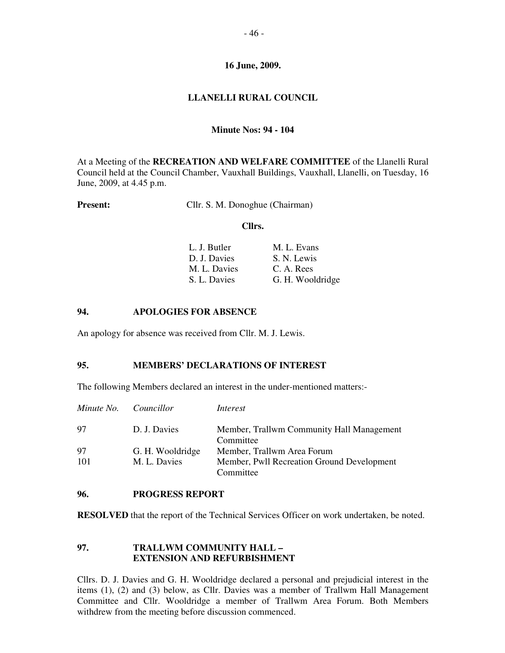# **LLANELLI RURAL COUNCIL**

#### **Minute Nos: 94 - 104**

At a Meeting of the **RECREATION AND WELFARE COMMITTEE** of the Llanelli Rural Council held at the Council Chamber, Vauxhall Buildings, Vauxhall, Llanelli, on Tuesday, 16 June, 2009, at 4.45 p.m.

## **Present:** Cllr. S. M. Donoghue (Chairman)

#### **Cllrs.**

| L. J. Butler | M. L. Evans      |
|--------------|------------------|
| D. J. Davies | S. N. Lewis      |
| M. L. Davies | C. A. Rees       |
| S. L. Davies | G. H. Wooldridge |

### **94. APOLOGIES FOR ABSENCE**

An apology for absence was received from Cllr. M. J. Lewis.

### **95. MEMBERS' DECLARATIONS OF INTEREST**

The following Members declared an interest in the under-mentioned matters:-

|     | Minute No. Councillor | Interest                                               |
|-----|-----------------------|--------------------------------------------------------|
| 97  | D. J. Davies          | Member, Trallwm Community Hall Management<br>Committee |
| 97  | G. H. Wooldridge      | Member, Trallwm Area Forum                             |
| 101 | M. L. Davies          | Member, Pwll Recreation Ground Development             |
|     |                       | Committee                                              |

#### **96. PROGRESS REPORT**

**RESOLVED** that the report of the Technical Services Officer on work undertaken, be noted.

## **97. TRALLWM COMMUNITY HALL – EXTENSION AND REFURBISHMENT**

Cllrs. D. J. Davies and G. H. Wooldridge declared a personal and prejudicial interest in the items (1), (2) and (3) below, as Cllr. Davies was a member of Trallwm Hall Management Committee and Cllr. Wooldridge a member of Trallwm Area Forum. Both Members withdrew from the meeting before discussion commenced.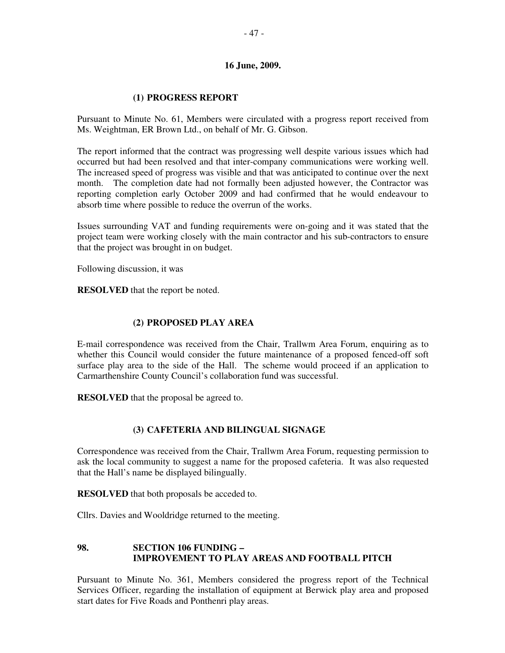#### **(1) PROGRESS REPORT**

Pursuant to Minute No. 61, Members were circulated with a progress report received from Ms. Weightman, ER Brown Ltd., on behalf of Mr. G. Gibson.

The report informed that the contract was progressing well despite various issues which had occurred but had been resolved and that inter-company communications were working well. The increased speed of progress was visible and that was anticipated to continue over the next month. The completion date had not formally been adjusted however, the Contractor was reporting completion early October 2009 and had confirmed that he would endeavour to absorb time where possible to reduce the overrun of the works.

Issues surrounding VAT and funding requirements were on-going and it was stated that the project team were working closely with the main contractor and his sub-contractors to ensure that the project was brought in on budget.

Following discussion, it was

**RESOLVED** that the report be noted.

### **(2) PROPOSED PLAY AREA**

E-mail correspondence was received from the Chair, Trallwm Area Forum, enquiring as to whether this Council would consider the future maintenance of a proposed fenced-off soft surface play area to the side of the Hall. The scheme would proceed if an application to Carmarthenshire County Council's collaboration fund was successful.

**RESOLVED** that the proposal be agreed to.

#### **(3) CAFETERIA AND BILINGUAL SIGNAGE**

Correspondence was received from the Chair, Trallwm Area Forum, requesting permission to ask the local community to suggest a name for the proposed cafeteria. It was also requested that the Hall's name be displayed bilingually.

**RESOLVED** that both proposals be acceded to.

Cllrs. Davies and Wooldridge returned to the meeting.

## **98. SECTION 106 FUNDING – IMPROVEMENT TO PLAY AREAS AND FOOTBALL PITCH**

Pursuant to Minute No. 361, Members considered the progress report of the Technical Services Officer, regarding the installation of equipment at Berwick play area and proposed start dates for Five Roads and Ponthenri play areas.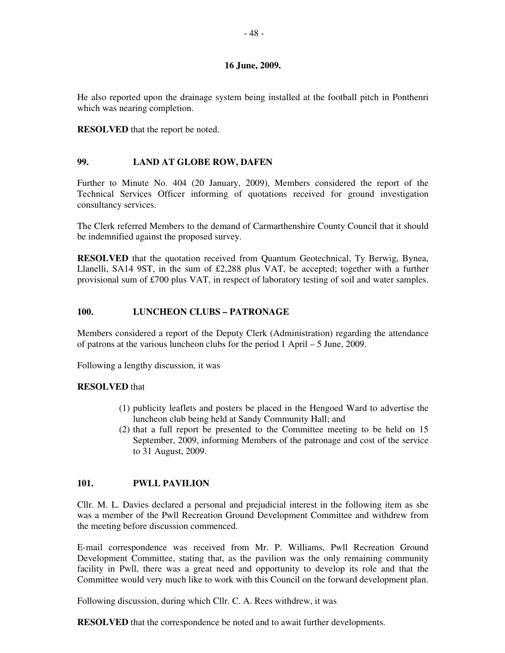He also reported upon the drainage system being installed at the football pitch in Ponthenri which was nearing completion.

**RESOLVED** that the report be noted.

### **99. LAND AT GLOBE ROW, DAFEN**

Further to Minute No. 404 (20 January, 2009), Members considered the report of the Technical Services Officer informing of quotations received for ground investigation consultancy services.

The Clerk referred Members to the demand of Carmarthenshire County Council that it should be indemnified against the proposed survey.

**RESOLVED** that the quotation received from Quantum Geotechnical, Ty Berwig, Bynea, Llanelli, SA14 9ST, in the sum of  $\text{\pounds}2,288$  plus VAT, be accepted; together with a further provisional sum of £700 plus VAT, in respect of laboratory testing of soil and water samples.

## **100. LUNCHEON CLUBS – PATRONAGE**

Members considered a report of the Deputy Clerk (Administration) regarding the attendance of patrons at the various luncheon clubs for the period 1 April – 5 June, 2009.

Following a lengthy discussion, it was

#### **RESOLVED** that

- (1) publicity leaflets and posters be placed in the Hengoed Ward to advertise the luncheon club being held at Sandy Community Hall; and
- (2) that a full report be presented to the Committee meeting to be held on 15 September, 2009, informing Members of the patronage and cost of the service to 31 August, 2009.

#### **101. PWLL PAVILION**

Cllr. M. L. Davies declared a personal and prejudicial interest in the following item as she was a member of the Pwll Recreation Ground Development Committee and withdrew from the meeting before discussion commenced.

E-mail correspondence was received from Mr. P. Williams, Pwll Recreation Ground Development Committee, stating that, as the pavilion was the only remaining community facility in Pwll, there was a great need and opportunity to develop its role and that the Committee would very much like to work with this Council on the forward development plan.

Following discussion, during which Cllr. C. A. Rees withdrew, it was

**RESOLVED** that the correspondence be noted and to await further developments.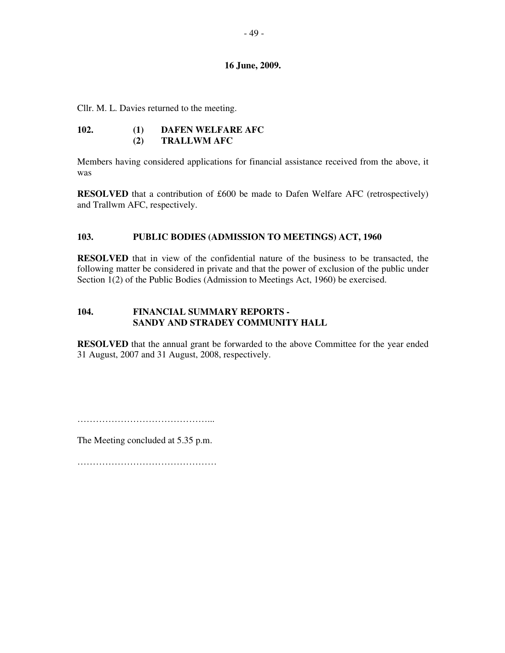Cllr. M. L. Davies returned to the meeting.

## **102. (1) DAFEN WELFARE AFC (2) TRALLWM AFC**

Members having considered applications for financial assistance received from the above, it was

**RESOLVED** that a contribution of £600 be made to Dafen Welfare AFC (retrospectively) and Trallwm AFC, respectively.

# **103. PUBLIC BODIES (ADMISSION TO MEETINGS) ACT, 1960**

**RESOLVED** that in view of the confidential nature of the business to be transacted, the following matter be considered in private and that the power of exclusion of the public under Section 1(2) of the Public Bodies (Admission to Meetings Act, 1960) be exercised.

#### **104. FINANCIAL SUMMARY REPORTS - SANDY AND STRADEY COMMUNITY HALL**

**RESOLVED** that the annual grant be forwarded to the above Committee for the year ended 31 August, 2007 and 31 August, 2008, respectively.

……………………………………………………

The Meeting concluded at 5.35 p.m.

………………………………………